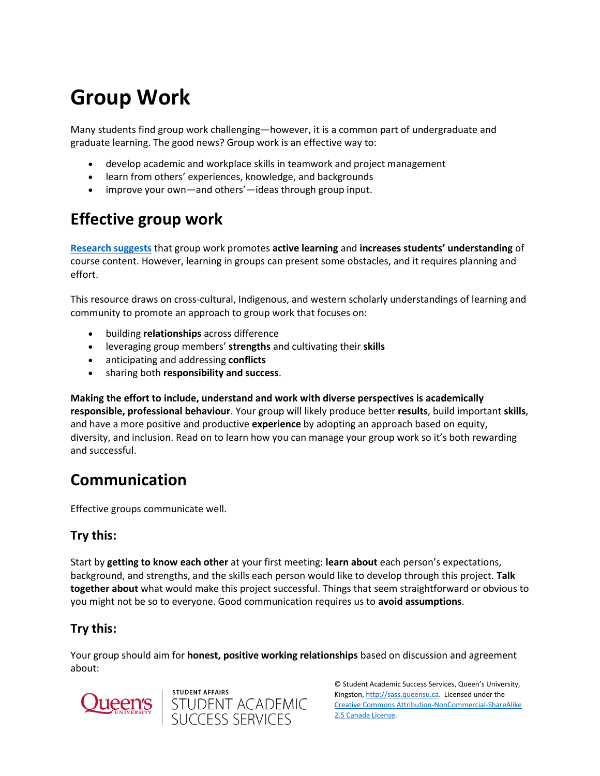# **Group Work**

Many students find group work challenging—however, it is a common part of undergraduate and graduate learning. The good news? Group work is an effective way to:

- develop academic and workplace skills in teamwork and project management
- learn from others' experiences, knowledge, and backgrounds
- improve your own—and others'—ideas through group input.

# **Effective group work**

**[Research suggests](https://cft.vanderbilt.edu/guides-sub-pages/setting-up-and-facilitating-group-work-using-cooperative-learning-groups-effectively/#theory)** that group work promotes **active learning** and **increases students' understanding** of course content. However, learning in groups can present some obstacles, and it requires planning and effort.

This resource draws on cross-cultural, Indigenous, and western scholarly understandings of learning and community to promote an approach to group work that focuses on:

- building **relationships** across difference
- leveraging group members' **strengths** and cultivating their **skills**
- anticipating and addressing **conflicts**
- sharing both **responsibility and success**.

**Making the effort to include, understand and work with diverse perspectives is academically responsible, professional behaviour**. Your group will likely produce better **results**, build important **skills**, and have a more positive and productive **experience** by adopting an approach based on equity, diversity, and inclusion. Read on to learn how you can manage your group work so it's both rewarding and successful.

# **Communication**

Effective groups communicate well.

### **Try this:**

Start by **getting to know each other** at your first meeting: **learn about** each person's expectations, background, and strengths, and the skills each person would like to develop through this project. **Talk together about** what would make this project successful. Things that seem straightforward or obvious to you might not be so to everyone. Good communication requires us to **avoid assumptions**.

### **Try this:**

Your group should aim for **honest, positive working relationships** based on discussion and agreement about:



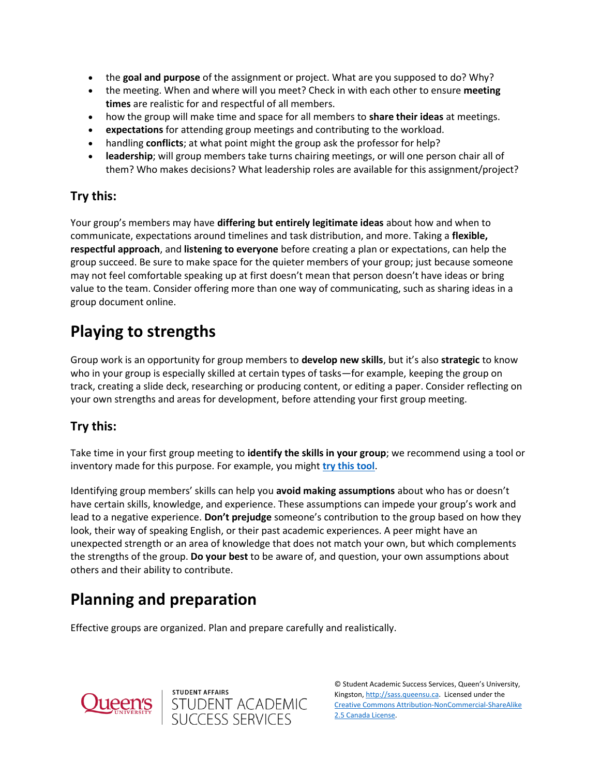- the **goal and purpose** of the assignment or project. What are you supposed to do? Why?
- the meeting. When and where will you meet? Check in with each other to ensure **meeting times** are realistic for and respectful of all members.
- how the group will make time and space for all members to **share their ideas** at meetings.
- **expectations** for attending group meetings and contributing to the workload.
- handling **conflicts**; at what point might the group ask the professor for help?
- **leadership**; will group members take turns chairing meetings, or will one person chair all of them? Who makes decisions? What leadership roles are available for this assignment/project?

### **Try this:**

Your group's members may have **differing but entirely legitimate ideas** about how and when to communicate, expectations around timelines and task distribution, and more. Taking a **flexible, respectful approach**, and **listening to everyone** before creating a plan or expectations, can help the group succeed. Be sure to make space for the quieter members of your group; just because someone may not feel comfortable speaking up at first doesn't mean that person doesn't have ideas or bring value to the team. Consider offering more than one way of communicating, such as sharing ideas in a group document online.

# **Playing to strengths**

Group work is an opportunity for group members to **develop new skills**, but it's also **strategic** to know who in your group is especially skilled at certain types of tasks—for example, keeping the group on track, creating a slide deck, researching or producing content, or editing a paper. Consider reflecting on your own strengths and areas for development, before attending your first group meeting.

#### **Try this:**

Take time in your first group meeting to **identify the skills in your group**; we recommend using a tool or inventory made for this purpose. For example, you might **[try this tool](https://sass.queensu.ca/wp-content/uploads/2020/06/Self-assessment.pdf)**.

Identifying group members' skills can help you **avoid making assumptions** about who has or doesn't have certain skills, knowledge, and experience. These assumptions can impede your group's work and lead to a negative experience. **Don't prejudge** someone's contribution to the group based on how they look, their way of speaking English, or their past academic experiences. A peer might have an unexpected strength or an area of knowledge that does not match your own, but which complements the strengths of the group. **Do your best** to be aware of, and question, your own assumptions about others and their ability to contribute.

# **Planning and preparation**

Effective groups are organized. Plan and prepare carefully and realistically.



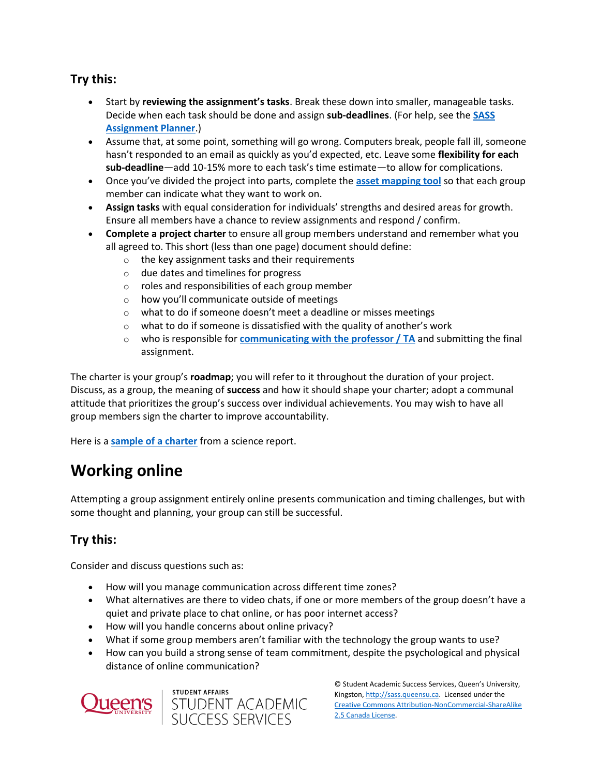### **Try this:**

- Start by **reviewing the assignment's tasks**. Break these down into smaller, manageable tasks. Decide when each task should be done and assign **sub-deadlines**. (For help, see the **[SASS](https://wp3-dev.its.queensu.ca/ha/sasswww/assignments)  [Assignment Planner](https://wp3-dev.its.queensu.ca/ha/sasswww/assignments)**.)
- Assume that, at some point, something will go wrong. Computers break, people fall ill, someone hasn't responded to an email as quickly as you'd expected, etc. Leave some **flexibility for each sub-deadline**—add 10-15% more to each task's time estimate—to allow for complications.
- Once you've divided the project into parts, complete the **[asset mapping tool](http://sass.queensu.ca/wp-content/uploads/2020/05/Asset-mapping.pdf)** so that each group member can indicate what they want to work on.
- **Assign tasks** with equal consideration for individuals' strengths and desired areas for growth. Ensure all members have a chance to review assignments and respond / confirm.
- **Complete a project charter** to ensure all group members understand and remember what you all agreed to. This short (less than one page) document should define:
	- o the key assignment tasks and their requirements
	- o due dates and timelines for progress
	- o roles and responsibilities of each group member
	- o how you'll communicate outside of meetings
	- o what to do if someone doesn't meet a deadline or misses meetings
	- $\circ$  what to do if someone is dissatisfied with the quality of another's work
	- o who is responsible for **[communicating with the professor / TA](https://wp3-dev.its.queensu.ca/ha/sasswww/resources/communicating-profs-and-tas)** and submitting the final assignment.

The charter is your group's **roadmap**; you will refer to it throughout the duration of your project. Discuss, as a group, the meaning of **success** and how it should shape your charter; adopt a communal attitude that prioritizes the group's success over individual achievements. You may wish to have all group members sign the charter to improve accountability.

Here is a **[sample of a charter](http://sass.queensu.ca/wp-content/uploads/2020/05/Work-plan-sample.pdf)** from a science report.

# **Working online**

Attempting a group assignment entirely online presents communication and timing challenges, but with some thought and planning, your group can still be successful.

### **Try this:**

Consider and discuss questions such as:

- How will you manage communication across different time zones?
- What alternatives are there to video chats, if one or more members of the group doesn't have a quiet and private place to chat online, or has poor internet access?
- How will you handle concerns about online privacy?
- What if some group members aren't familiar with the technology the group wants to use?
- How can you build a strong sense of team commitment, despite the psychological and physical distance of online communication?



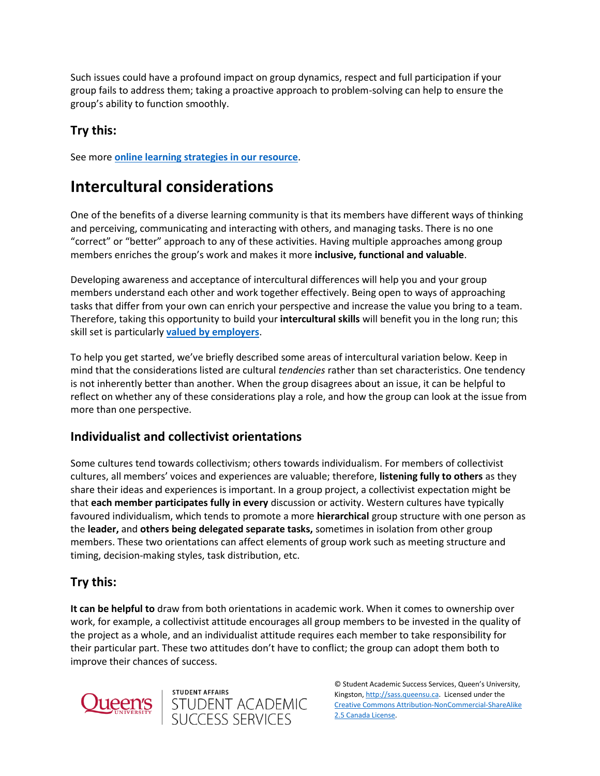Such issues could have a profound impact on group dynamics, respect and full participation if your group fails to address them; taking a proactive approach to problem-solving can help to ensure the group's ability to function smoothly.

### **Try this:**

See more **[online learning strategies in our resource](https://wp3-dev.its.queensu.ca/ha/sasswww/resources/online-learning)**.

# **Intercultural considerations**

One of the benefits of a diverse learning community is that its members have different ways of thinking and perceiving, communicating and interacting with others, and managing tasks. There is no one "correct" or "better" approach to any of these activities. Having multiple approaches among group members enriches the group's work and makes it more **inclusive, functional and valuable**.

Developing awareness and acceptance of intercultural differences will help you and your group members understand each other and work together effectively. Being open to ways of approaching tasks that differ from your own can enrich your perspective and increase the value you bring to a team. Therefore, taking this opportunity to build your **intercultural skills** will benefit you in the long run; this skill set is particularly **[valued by employers](https://www.britishcouncil.org/voices-magazine/why-employers-value-intercultural-skills)**.

To help you get started, we've briefly described some areas of intercultural variation below. Keep in mind that the considerations listed are cultural *tendencies* rather than set characteristics. One tendency is not inherently better than another. When the group disagrees about an issue, it can be helpful to reflect on whether any of these considerations play a role, and how the group can look at the issue from more than one perspective.

#### **Individualist and collectivist orientations**

Some cultures tend towards collectivism; others towards individualism. For members of collectivist cultures, all members' voices and experiences are valuable; therefore, **listening fully to others** as they share their ideas and experiences is important. In a group project, a collectivist expectation might be that **each member participates fully in every** discussion or activity. Western cultures have typically favoured individualism, which tends to promote a more **hierarchical** group structure with one person as the **leader,** and **others being delegated separate tasks,** sometimes in isolation from other group members. These two orientations can affect elements of group work such as meeting structure and timing, decision-making styles, task distribution, etc.

#### **Try this:**

**It can be helpful to** draw from both orientations in academic work. When it comes to ownership over work, for example, a collectivist attitude encourages all group members to be invested in the quality of the project as a whole, and an individualist attitude requires each member to take responsibility for their particular part. These two attitudes don't have to conflict; the group can adopt them both to improve their chances of success.

student affairs<br>STUDENT ACADEMIC<br>SUCCESS SERVICES

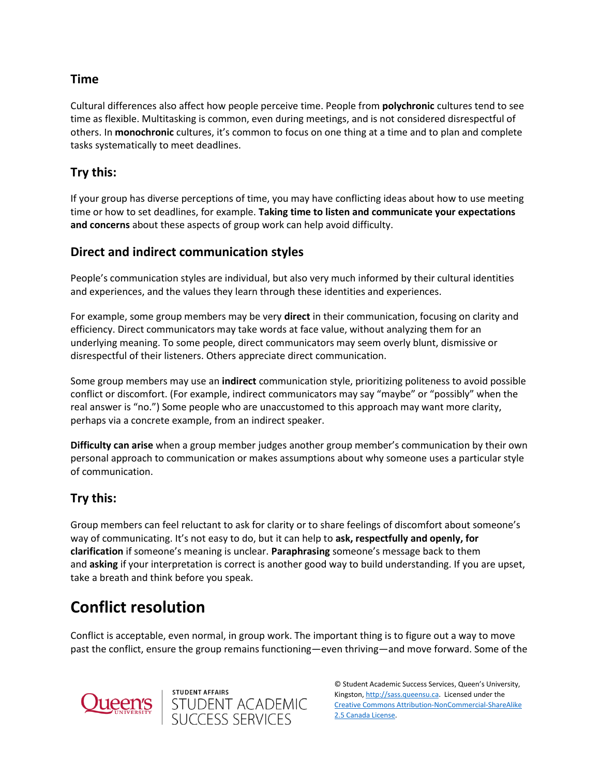#### **Time**

Cultural differences also affect how people perceive time. People from **polychronic** cultures tend to see time as flexible. Multitasking is common, even during meetings, and is not considered disrespectful of others. In **monochronic** cultures, it's common to focus on one thing at a time and to plan and complete tasks systematically to meet deadlines.

#### **Try this:**

If your group has diverse perceptions of time, you may have conflicting ideas about how to use meeting time or how to set deadlines, for example. **Taking time to listen and communicate your expectations and concerns** about these aspects of group work can help avoid difficulty.

#### **Direct and indirect communication styles**

People's communication styles are individual, but also very much informed by their cultural identities and experiences, and the values they learn through these identities and experiences.

For example, some group members may be very **direct** in their communication, focusing on clarity and efficiency. Direct communicators may take words at face value, without analyzing them for an underlying meaning. To some people, direct communicators may seem overly blunt, dismissive or disrespectful of their listeners. Others appreciate direct communication.

Some group members may use an **indirect** communication style, prioritizing politeness to avoid possible conflict or discomfort. (For example, indirect communicators may say "maybe" or "possibly" when the real answer is "no.") Some people who are unaccustomed to this approach may want more clarity, perhaps via a concrete example, from an indirect speaker.

**Difficulty can arise** when a group member judges another group member's communication by their own personal approach to communication or makes assumptions about why someone uses a particular style of communication.

#### **Try this:**

Group members can feel reluctant to ask for clarity or to share feelings of discomfort about someone's way of communicating. It's not easy to do, but it can help to **ask, respectfully and openly, for clarification** if someone's meaning is unclear. **Paraphrasing** someone's message back to them and **asking** if your interpretation is correct is another good way to build understanding. If you are upset, take a breath and think before you speak.

# **Conflict resolution**

Conflict is acceptable, even normal, in group work. The important thing is to figure out a way to move past the conflict, ensure the group remains functioning—even thriving—and move forward. Some of the



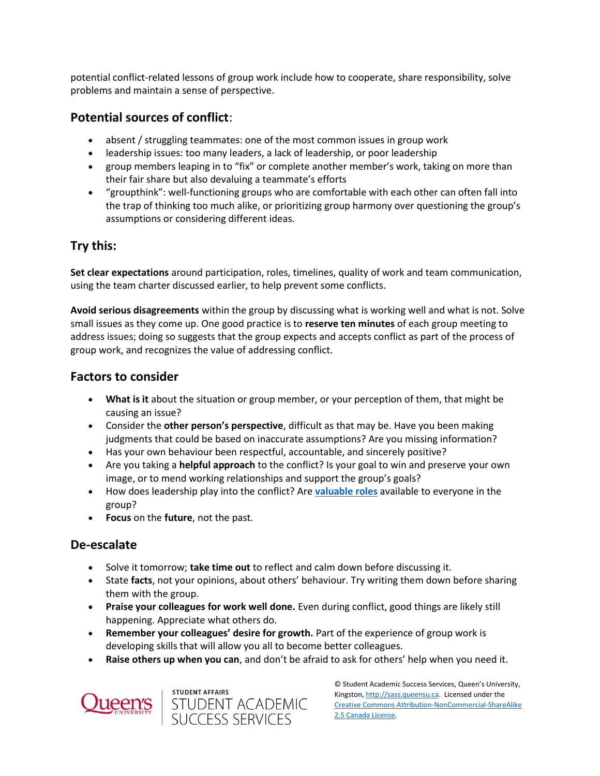potential conflict-related lessons of group work include how to cooperate, share responsibility, solve problems and maintain a sense of perspective.

#### **Potential sources of conflict**:

- absent / struggling teammates: one of the most common issues in group work
- leadership issues: too many leaders, a lack of leadership, or poor leadership
- group members leaping in to "fix" or complete another member's work, taking on more than their fair share but also devaluing a teammate's efforts
- "groupthink": well-functioning groups who are comfortable with each other can often fall into the trap of thinking too much alike, or prioritizing group harmony over questioning the group's assumptions or considering different ideas.

### **Try this:**

**Set clear expectations** around participation, roles, timelines, quality of work and team communication, using the team charter discussed earlier, to help prevent some conflicts.

**Avoid serious disagreements** within the group by discussing what is working well and what is not. Solve small issues as they come up. One good practice is to **reserve ten minutes** of each group meeting to address issues; doing so suggests that the group expects and accepts conflict as part of the process of group work, and recognizes the value of addressing conflict.

#### **Factors to consider**

- **What is it** about the situation or group member, or your perception of them, that might be causing an issue?
- Consider the **other person's perspective**, difficult as that may be. Have you been making judgments that could be based on inaccurate assumptions? Are you missing information?
- Has your own behaviour been respectful, accountable, and sincerely positive?
- Are you taking a **helpful approach** to the conflict? Is your goal to win and preserve your own image, or to mend working relationships and support the group's goals?
- How does leadership play into the conflict? Are **[valuable roles](http://www.pcrest.com/research/fgb/3_4_2.pdf)** available to everyone in the group?
- **Focus** on the **future**, not the past.

#### **De-escalate**

- Solve it tomorrow; **take time out** to reflect and calm down before discussing it.
- State **facts**, not your opinions, about others' behaviour. Try writing them down before sharing them with the group.
- **Praise your colleagues for work well done.** Even during conflict, good things are likely still happening. Appreciate what others do.
- **Remember your colleagues' desire for growth.** Part of the experience of group work is developing skills that will allow you all to become better colleagues.
- **Raise others up when you can**, and don't be afraid to ask for others' help when you need it.



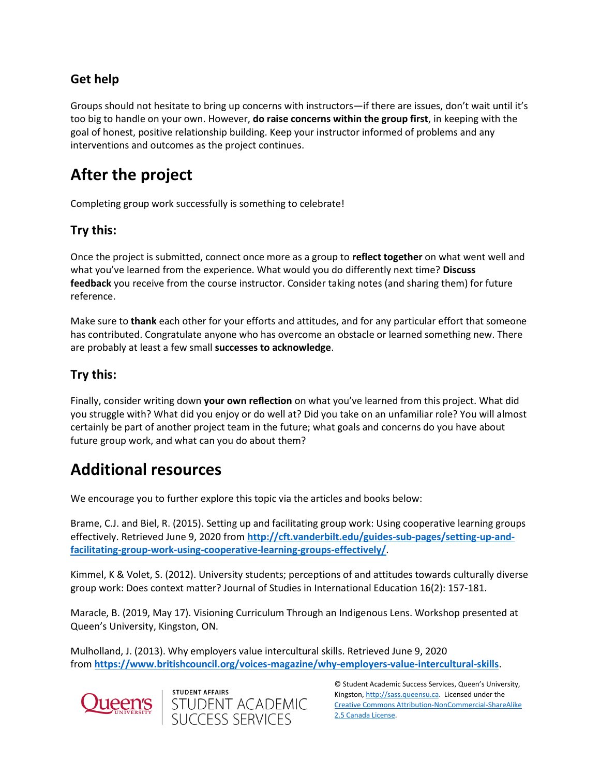## **Get help**

Groups should not hesitate to bring up concerns with instructors—if there are issues, don't wait until it's too big to handle on your own. However, **do raise concerns within the group first**, in keeping with the goal of honest, positive relationship building. Keep your instructor informed of problems and any interventions and outcomes as the project continues.

# **After the project**

Completing group work successfully is something to celebrate!

### **Try this:**

Once the project is submitted, connect once more as a group to **reflect together** on what went well and what you've learned from the experience. What would you do differently next time? **Discuss feedback** you receive from the course instructor. Consider taking notes (and sharing them) for future reference.

Make sure to **thank** each other for your efforts and attitudes, and for any particular effort that someone has contributed. Congratulate anyone who has overcome an obstacle or learned something new. There are probably at least a few small **successes to acknowledge**.

### **Try this:**

Finally, consider writing down **your own reflection** on what you've learned from this project. What did you struggle with? What did you enjoy or do well at? Did you take on an unfamiliar role? You will almost certainly be part of another project team in the future; what goals and concerns do you have about future group work, and what can you do about them?

# **Additional resources**

We encourage you to further explore this topic via the articles and books below:

Brame, C.J. and Biel, R. (2015). Setting up and facilitating group work: Using cooperative learning groups effectively. Retrieved June 9, 2020 from **[http://cft.vanderbilt.edu/guides-sub-pages/setting-up-and](http://cft.vanderbilt.edu/guides-sub-pages/setting-up-and-facilitating-group-work-using-cooperative-learning-groups-effectively/)[facilitating-group-work-using-cooperative-learning-groups-effectively/](http://cft.vanderbilt.edu/guides-sub-pages/setting-up-and-facilitating-group-work-using-cooperative-learning-groups-effectively/)**.

Kimmel, K & Volet, S. (2012). University students; perceptions of and attitudes towards culturally diverse group work: Does context matter? Journal of Studies in International Education 16(2): 157-181.

Maracle, B. (2019, May 17). Visioning Curriculum Through an Indigenous Lens. Workshop presented at Queen's University, Kingston, ON.

Mulholland, J. (2013). Why employers value intercultural skills. Retrieved June 9, 2020 from **<https://www.britishcouncil.org/voices-magazine/why-employers-value-intercultural-skills>**.